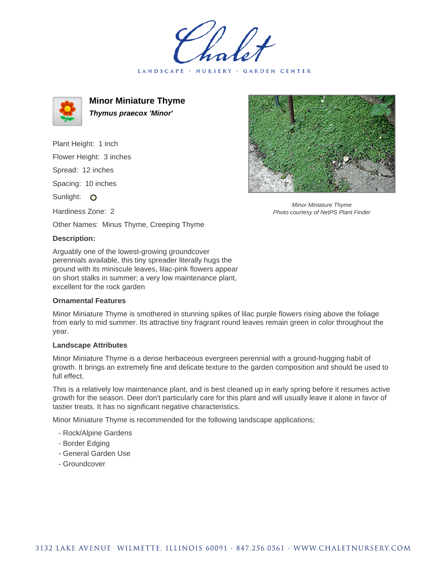holet LANDSCAPE · NURSERY GARDEN CENTER



**Minor Miniature Thyme Thymus praecox 'Minor'**

Plant Height: 1 inch Flower Height: 3 inches Spread: 12 inches

Spacing: 10 inches

Sunlight: O

Hardiness Zone: 2

Other Names: Minus Thyme, Creeping Thyme

## **Description:**

Arguably one of the lowest-growing groundcover perennials available, this tiny spreader literally hugs the ground with its miniscule leaves, lilac-pink flowers appear on short stalks in summer; a very low maintenance plant, excellent for the rock garden

## **Ornamental Features**

Minor Miniature Thyme is smothered in stunning spikes of lilac purple flowers rising above the foliage from early to mid summer. Its attractive tiny fragrant round leaves remain green in color throughout the year.

## **Landscape Attributes**

Minor Miniature Thyme is a dense herbaceous evergreen perennial with a ground-hugging habit of growth. It brings an extremely fine and delicate texture to the garden composition and should be used to full effect.

This is a relatively low maintenance plant, and is best cleaned up in early spring before it resumes active growth for the season. Deer don't particularly care for this plant and will usually leave it alone in favor of tastier treats. It has no significant negative characteristics.

Minor Miniature Thyme is recommended for the following landscape applications;

- Rock/Alpine Gardens
- Border Edging
- General Garden Use
- Groundcover



Minor Miniature Thyme Photo courtesy of NetPS Plant Finder